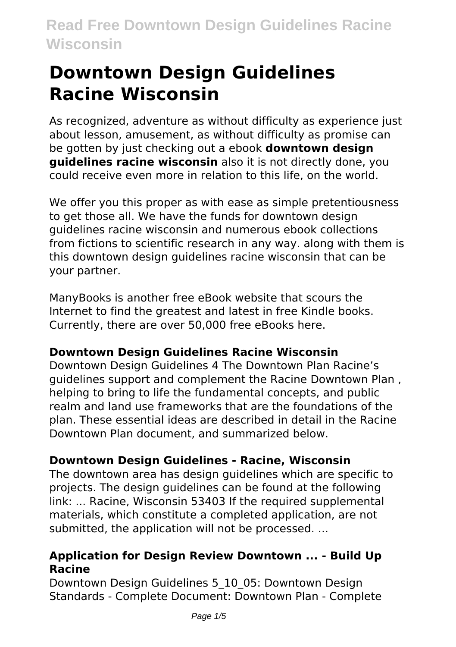# **Downtown Design Guidelines Racine Wisconsin**

As recognized, adventure as without difficulty as experience just about lesson, amusement, as without difficulty as promise can be gotten by just checking out a ebook **downtown design guidelines racine wisconsin** also it is not directly done, you could receive even more in relation to this life, on the world.

We offer you this proper as with ease as simple pretentiousness to get those all. We have the funds for downtown design guidelines racine wisconsin and numerous ebook collections from fictions to scientific research in any way. along with them is this downtown design guidelines racine wisconsin that can be your partner.

ManyBooks is another free eBook website that scours the Internet to find the greatest and latest in free Kindle books. Currently, there are over 50,000 free eBooks here.

### **Downtown Design Guidelines Racine Wisconsin**

Downtown Design Guidelines 4 The Downtown Plan Racine's guidelines support and complement the Racine Downtown Plan , helping to bring to life the fundamental concepts, and public realm and land use frameworks that are the foundations of the plan. These essential ideas are described in detail in the Racine Downtown Plan document, and summarized below.

### **Downtown Design Guidelines - Racine, Wisconsin**

The downtown area has design guidelines which are specific to projects. The design guidelines can be found at the following link: ... Racine, Wisconsin 53403 If the required supplemental materials, which constitute a completed application, are not submitted, the application will not be processed. ...

#### **Application for Design Review Downtown ... - Build Up Racine**

Downtown Design Guidelines 5\_10\_05: Downtown Design Standards - Complete Document: Downtown Plan - Complete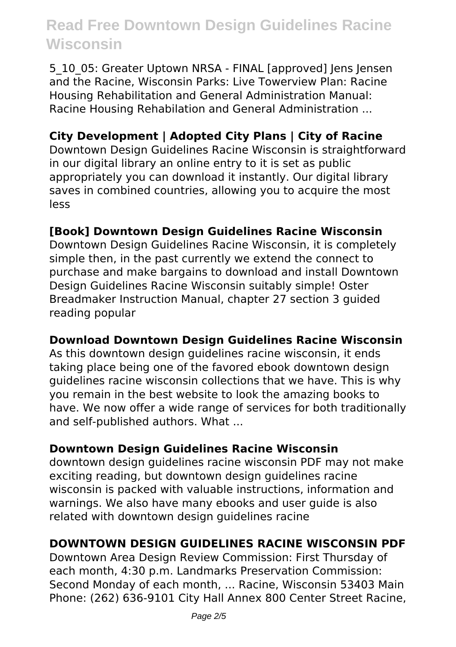5\_10\_05: Greater Uptown NRSA - FINAL [approved] Jens Jensen and the Racine, Wisconsin Parks: Live Towerview Plan: Racine Housing Rehabilitation and General Administration Manual: Racine Housing Rehabilation and General Administration ...

### **City Development | Adopted City Plans | City of Racine**

Downtown Design Guidelines Racine Wisconsin is straightforward in our digital library an online entry to it is set as public appropriately you can download it instantly. Our digital library saves in combined countries, allowing you to acquire the most less

#### **[Book] Downtown Design Guidelines Racine Wisconsin**

Downtown Design Guidelines Racine Wisconsin, it is completely simple then, in the past currently we extend the connect to purchase and make bargains to download and install Downtown Design Guidelines Racine Wisconsin suitably simple! Oster Breadmaker Instruction Manual, chapter 27 section 3 guided reading popular

#### **Download Downtown Design Guidelines Racine Wisconsin**

As this downtown design guidelines racine wisconsin, it ends taking place being one of the favored ebook downtown design guidelines racine wisconsin collections that we have. This is why you remain in the best website to look the amazing books to have. We now offer a wide range of services for both traditionally and self-published authors. What ...

#### **Downtown Design Guidelines Racine Wisconsin**

downtown design guidelines racine wisconsin PDF may not make exciting reading, but downtown design guidelines racine wisconsin is packed with valuable instructions, information and warnings. We also have many ebooks and user guide is also related with downtown design guidelines racine

#### **DOWNTOWN DESIGN GUIDELINES RACINE WISCONSIN PDF**

Downtown Area Design Review Commission: First Thursday of each month, 4:30 p.m. Landmarks Preservation Commission: Second Monday of each month, ... Racine, Wisconsin 53403 Main Phone: (262) 636-9101 City Hall Annex 800 Center Street Racine,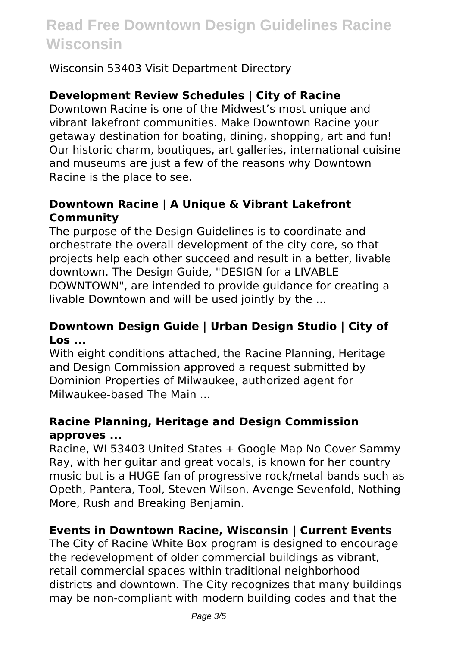Wisconsin 53403 Visit Department Directory

#### **Development Review Schedules | City of Racine**

Downtown Racine is one of the Midwest's most unique and vibrant lakefront communities. Make Downtown Racine your getaway destination for boating, dining, shopping, art and fun! Our historic charm, boutiques, art galleries, international cuisine and museums are just a few of the reasons why Downtown Racine is the place to see.

#### **Downtown Racine | A Unique & Vibrant Lakefront Community**

The purpose of the Design Guidelines is to coordinate and orchestrate the overall development of the city core, so that projects help each other succeed and result in a better, livable downtown. The Design Guide, "DESIGN for a LIVABLE DOWNTOWN", are intended to provide guidance for creating a livable Downtown and will be used jointly by the ...

#### **Downtown Design Guide | Urban Design Studio | City of Los ...**

With eight conditions attached, the Racine Planning, Heritage and Design Commission approved a request submitted by Dominion Properties of Milwaukee, authorized agent for Milwaukee-based The Main ...

#### **Racine Planning, Heritage and Design Commission approves ...**

Racine, WI 53403 United States + Google Map No Cover Sammy Ray, with her guitar and great vocals, is known for her country music but is a HUGE fan of progressive rock/metal bands such as Opeth, Pantera, Tool, Steven Wilson, Avenge Sevenfold, Nothing More, Rush and Breaking Benjamin.

#### **Events in Downtown Racine, Wisconsin | Current Events**

The City of Racine White Box program is designed to encourage the redevelopment of older commercial buildings as vibrant, retail commercial spaces within traditional neighborhood districts and downtown. The City recognizes that many buildings may be non-compliant with modern building codes and that the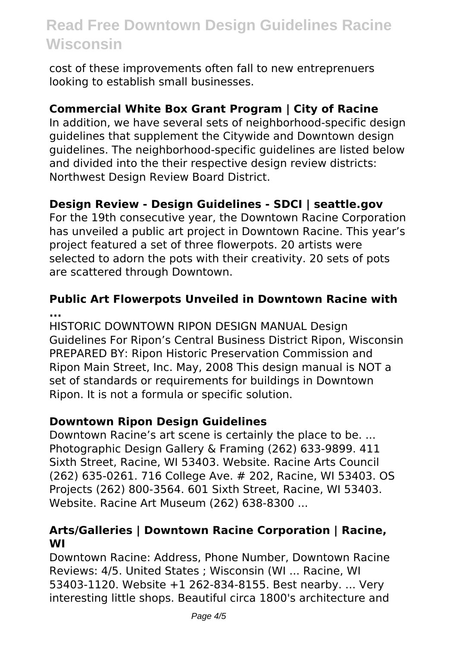cost of these improvements often fall to new entreprenuers looking to establish small businesses.

#### **Commercial White Box Grant Program | City of Racine**

In addition, we have several sets of neighborhood-specific design guidelines that supplement the Citywide and Downtown design guidelines. The neighborhood-specific guidelines are listed below and divided into the their respective design review districts: Northwest Design Review Board District.

#### **Design Review - Design Guidelines - SDCI | seattle.gov**

For the 19th consecutive year, the Downtown Racine Corporation has unveiled a public art project in Downtown Racine. This year's project featured a set of three flowerpots. 20 artists were selected to adorn the pots with their creativity. 20 sets of pots are scattered through Downtown.

#### **Public Art Flowerpots Unveiled in Downtown Racine with ...**

HISTORIC DOWNTOWN RIPON DESIGN MANUAL Design Guidelines For Ripon's Central Business District Ripon, Wisconsin PREPARED BY: Ripon Historic Preservation Commission and Ripon Main Street, Inc. May, 2008 This design manual is NOT a set of standards or requirements for buildings in Downtown Ripon. It is not a formula or specific solution.

#### **Downtown Ripon Design Guidelines**

Downtown Racine's art scene is certainly the place to be. ... Photographic Design Gallery & Framing (262) 633-9899. 411 Sixth Street, Racine, WI 53403. Website. Racine Arts Council (262) 635-0261. 716 College Ave. # 202, Racine, WI 53403. OS Projects (262) 800-3564. 601 Sixth Street, Racine, WI 53403. Website. Racine Art Museum (262) 638-8300 ...

#### **Arts/Galleries | Downtown Racine Corporation | Racine, WI**

Downtown Racine: Address, Phone Number, Downtown Racine Reviews: 4/5. United States ; Wisconsin (WI ... Racine, WI 53403-1120. Website +1 262-834-8155. Best nearby. ... Very interesting little shops. Beautiful circa 1800's architecture and